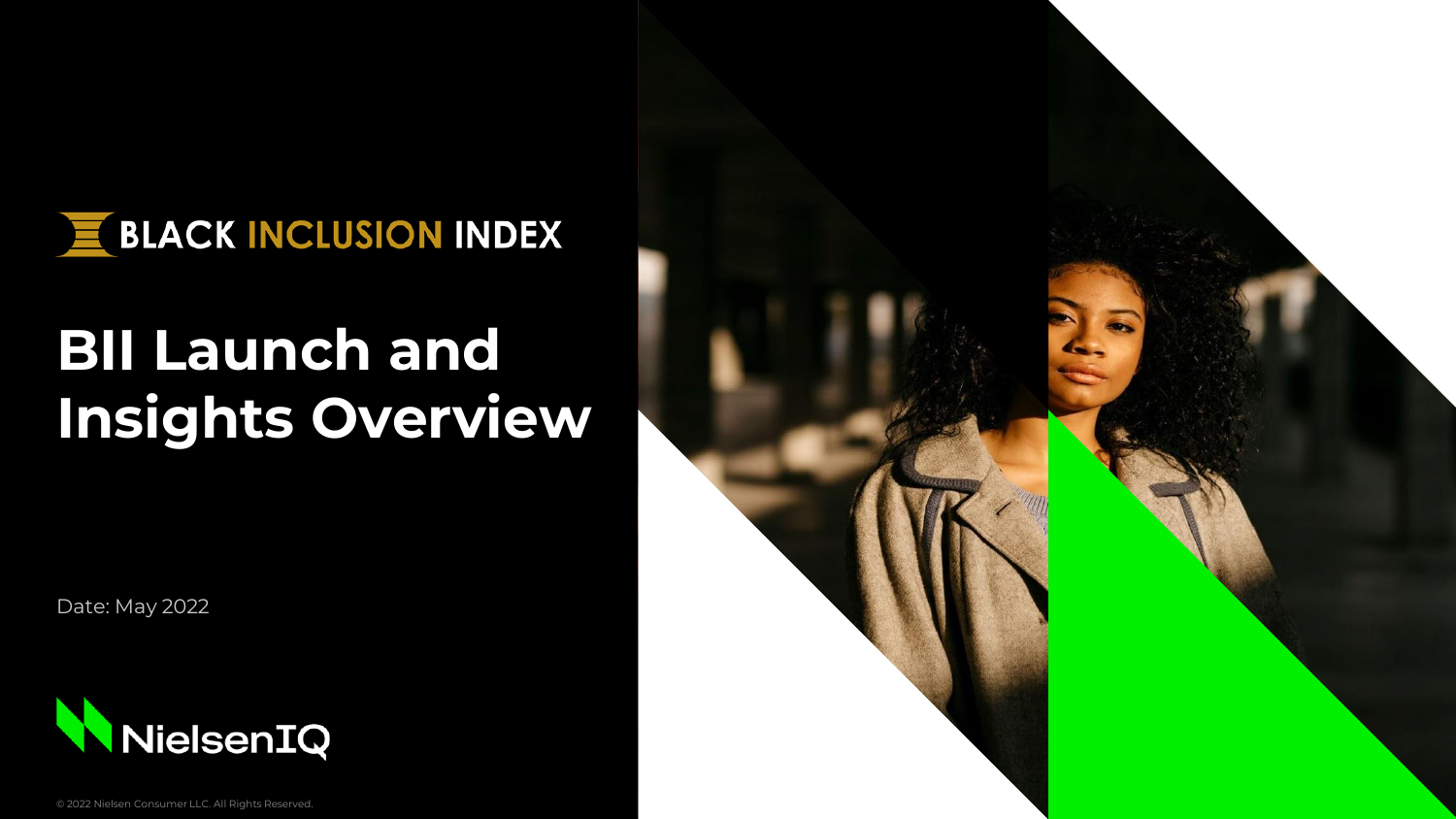

# **BII Launch and Insights Overview**

Date: May 2022



© 2022 Nielsen Consumer LLC. All Rights Reserved.

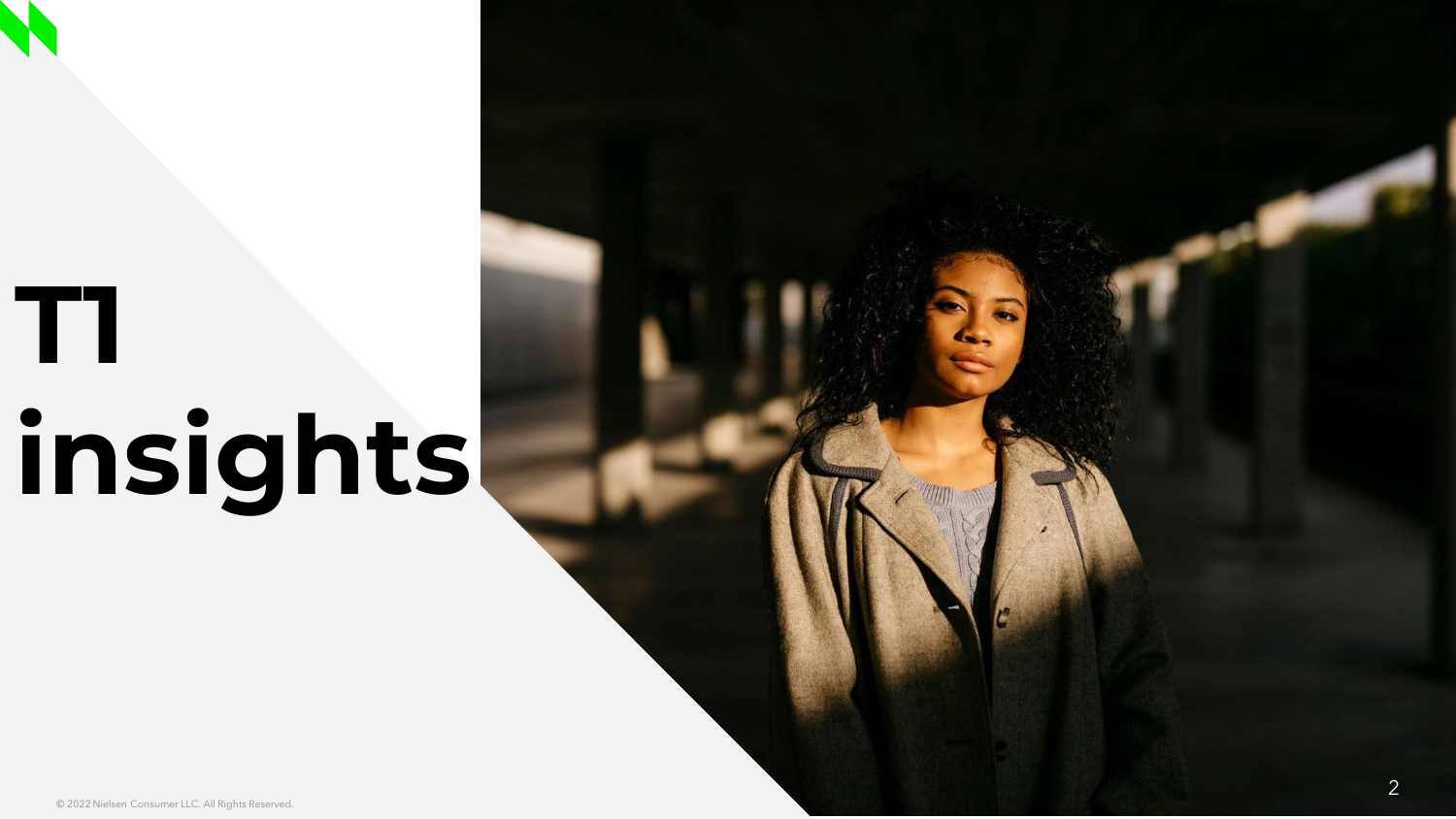# **T1 insights**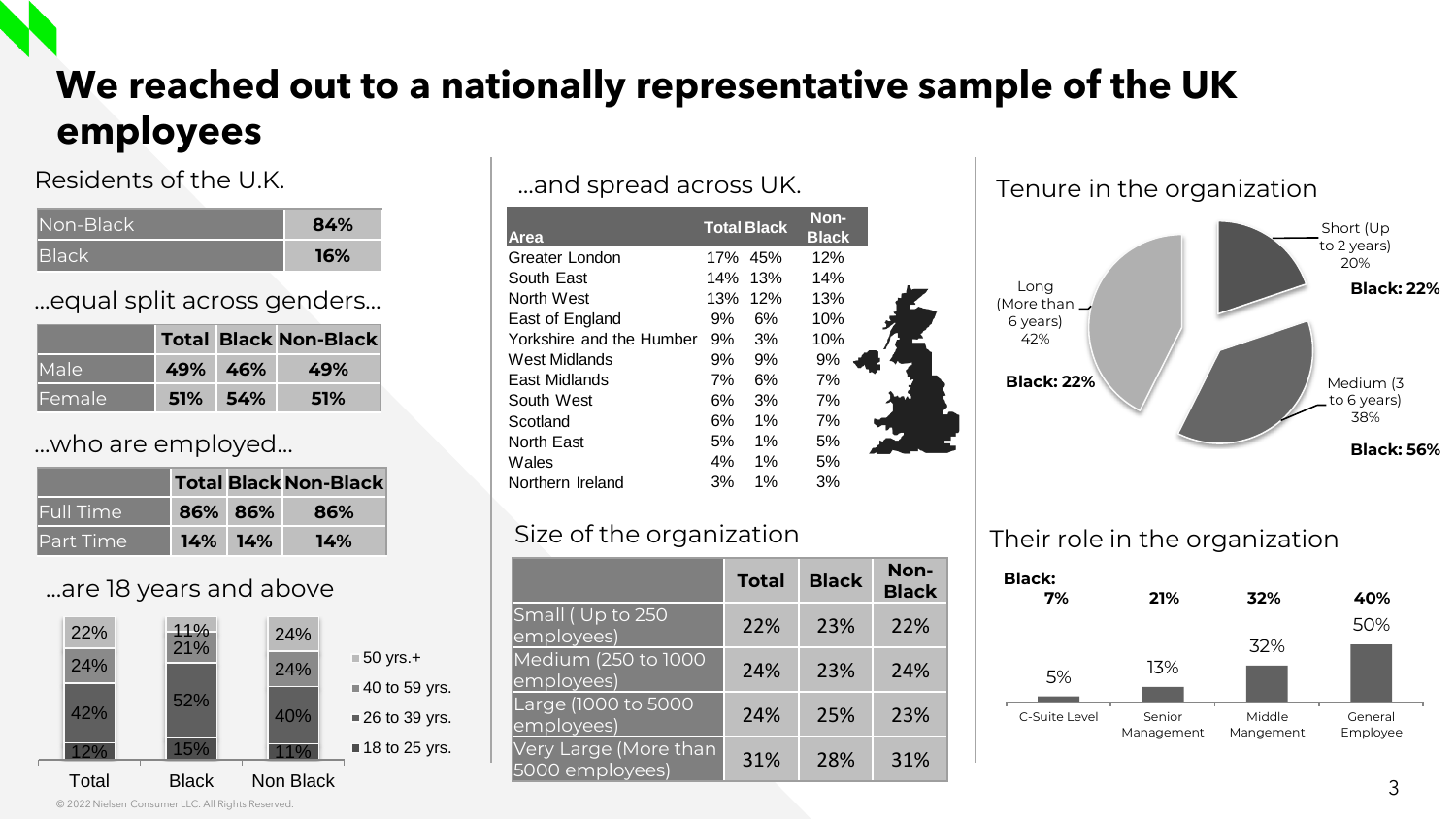## **We reached out to a nationally representative sample of the UK employees**

#### Residents of the U.K.

| Non-Black      | 84% |
|----------------|-----|
| <b>I</b> Black | 16% |

…equal split across genders…

|               |         | <b>Total Black Non-Black</b> |
|---------------|---------|------------------------------|
| <b>I</b> Male | 49% 46% | 49%                          |
| lFemale.      | 51% 54% | 51%                          |

#### …who are employed…

|                   |         | <b>Total Black Non-Black</b> |
|-------------------|---------|------------------------------|
| <b> Full Time</b> | 86% 86% | 86%                          |
| Part Time         | 14% 14% | 14%                          |

#### …are 18 years and above



…and spread across UK.

| <b>Area</b>              | <b>Total Black</b> |       | Non-<br><b>Black</b> |  |
|--------------------------|--------------------|-------|----------------------|--|
| Greater London           | 17%                | 45%   | 12%                  |  |
| South East               | 14%                | 13%   | 14%                  |  |
| North West               | 13%                | 12%   | 13%                  |  |
| East of England          | 9%                 | 6%    | 10%                  |  |
| Yorkshire and the Humber | 9%                 | 3%    | 10%                  |  |
| West Midlands            | 9%                 | 9%    | 9%                   |  |
| East Midlands            | 7%                 | 6%    | 7%                   |  |
| South West               | 6%                 | 3%    | 7%                   |  |
| Scotland                 | 6%                 | $1\%$ | 7%                   |  |
| North East               | 5%                 | $1\%$ | 5%                   |  |
| Wales                    | 4%                 | $1\%$ | 5%                   |  |
| Northern Ireland         | 3%                 | $1\%$ | 3%                   |  |

#### Size of the organization

|                                          | Total | <b>Black</b> | Non-<br><b>Black</b> |
|------------------------------------------|-------|--------------|----------------------|
| Small (Up to 250<br>employees)           | 22%   | 23%          | 22%                  |
| Medium (250 to 1000<br>employees)        | 24%   | 23%          | 24%                  |
| Large (1000 to 5000<br>employees)        | 24%   | 25%          | 23%                  |
| Very Large (More than<br>5000 employees) | 31%   | 28%          | 31%                  |







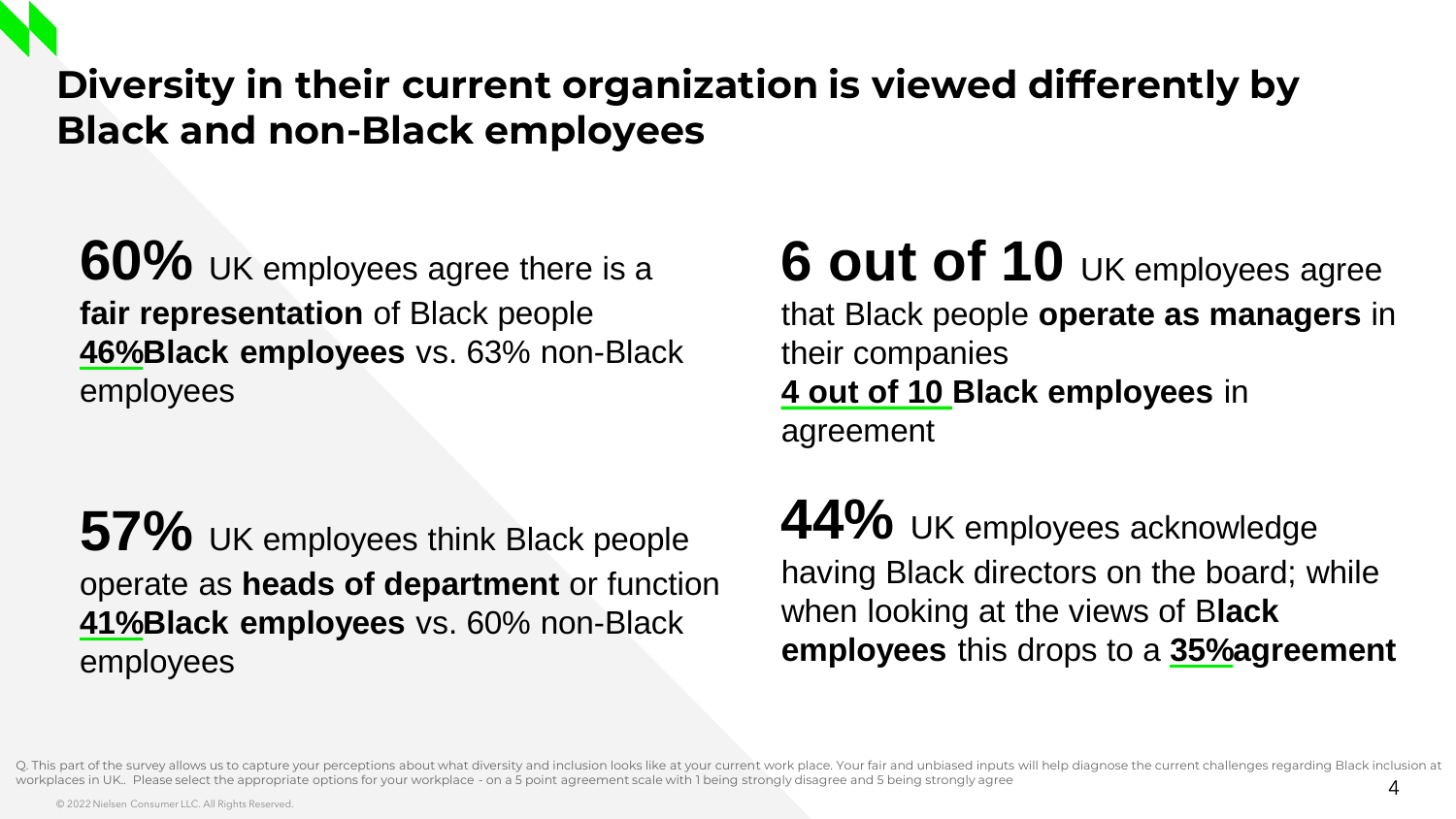## **Diversity in their current organization is viewed differently by Black and non-Black employees**

**60%** UK employees agree there is a **fair representation** of Black people **46%Black employees** vs. 63% non-Black employees

**57%** UK employees think Black people operate as **heads of department** or function **41%Black employees** vs. 60% non-Black employees

## **6 out of 10** UK employees agree that Black people **operate as managers** in their companies

### **4 out of 10 Black employees** in agreement

44% UK employees acknowledge having Black directors on the board; while when looking at the views of B**lack employees** this drops to a **35%agreement**

Q. This part of the survey allows us to capture your perceptions about what diversity and inclusion looks like at your current work place. Your fair and unbiased inputs will help diagnose the current challenges regarding B workplaces in UK. Please select the appropriate options for your workplace - on a 5 point agreement scale with 1 being strongly disagree and 5 being strongly agree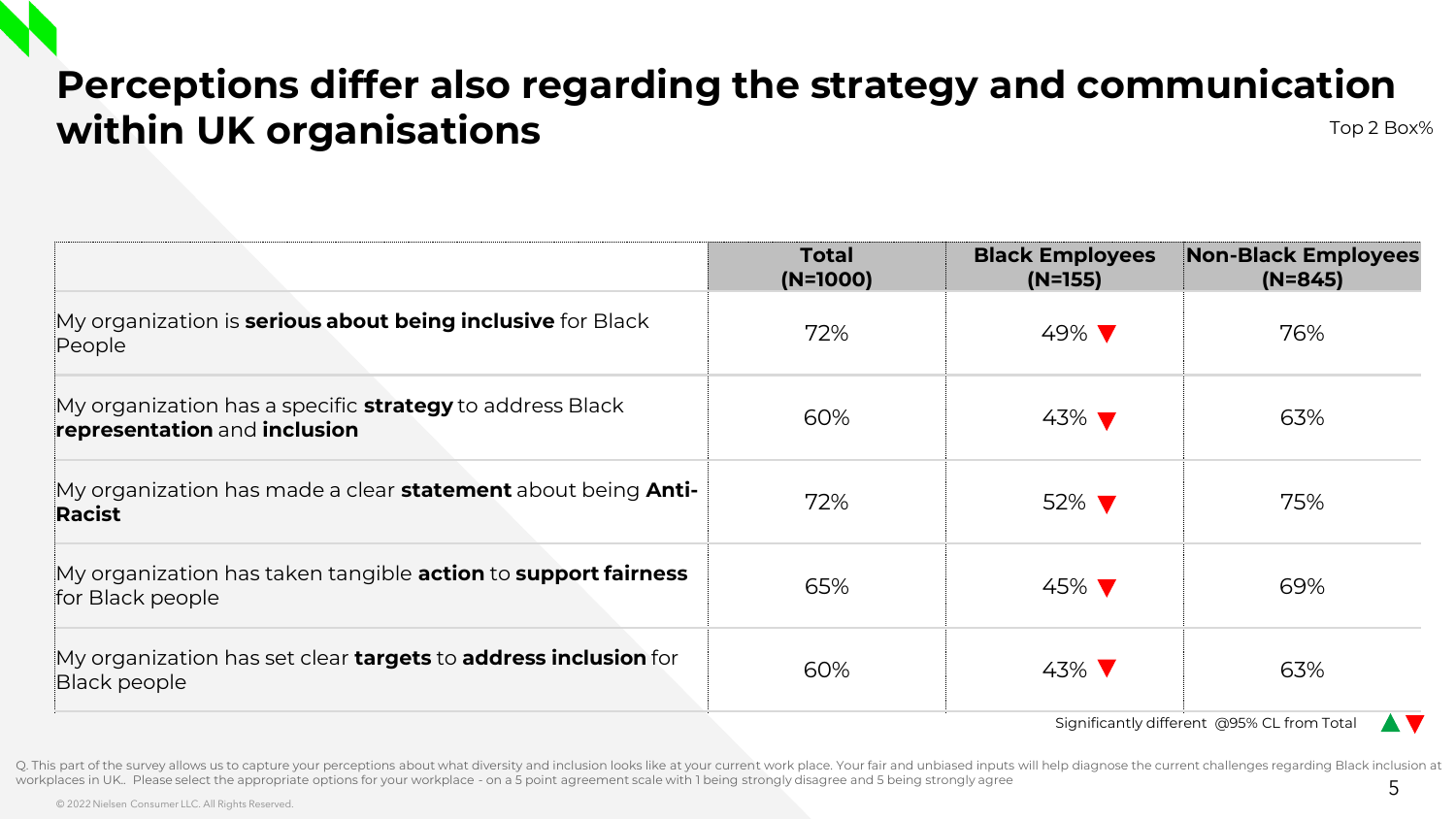## **Perceptions differ also regarding the strategy and communication Within UK organisations** Top 2 Box 80 and 2 Box 80 and 2 Box 80 and 2 Box 80 and 2 Box 80 and 2 Box 80 and 2 Box 80 and 2 Box 80 and 2 Box 80 and 2 Box 80 and 2 Box 80 and 2 Box 80 and 2 Box 80 and 2 Box 80 and 2 Box 80 a

|                                                                                                 | <b>Total</b><br>$(N=1000)$ | <b>Black Employees</b><br>$(N=155)$ | <b>Non-Black Employees</b><br>$(N=845)$ |
|-------------------------------------------------------------------------------------------------|----------------------------|-------------------------------------|-----------------------------------------|
| My organization is <b>serious about being inclusive</b> for Black<br>People                     | 72%                        | 49% V                               | 76%                                     |
| My organization has a specific <b>strategy</b> to address Black<br>representation and inclusion | 60%                        | $43\%$ $\blacktriangledown$         | 63%                                     |
| My organization has made a clear <b>statement</b> about being <b>Anti-</b><br>Racist            | 72%                        | 52% ▼                               | 75%                                     |
| My organization has taken tangible <b>action</b> to <b>support fairness</b><br>for Black people | 65%                        | 45% ▼                               | 69%                                     |
| My organization has set clear <b>targets</b> to <b>address inclusion</b> for<br>Black people    | 60%                        | 43% V                               | 63%                                     |

Significantly different @95% CL from Total

Q. This part of the survey allows us to capture your perceptions about what diversity and inclusion looks like at your current work place. Your fair and unbiased inputs will help diagnose the current challenges regarding B workplaces in UK.. Please select the appropriate options for your workplace - on a 5 point agreement scale with 1 being strongly disagree and 5 being strongly agree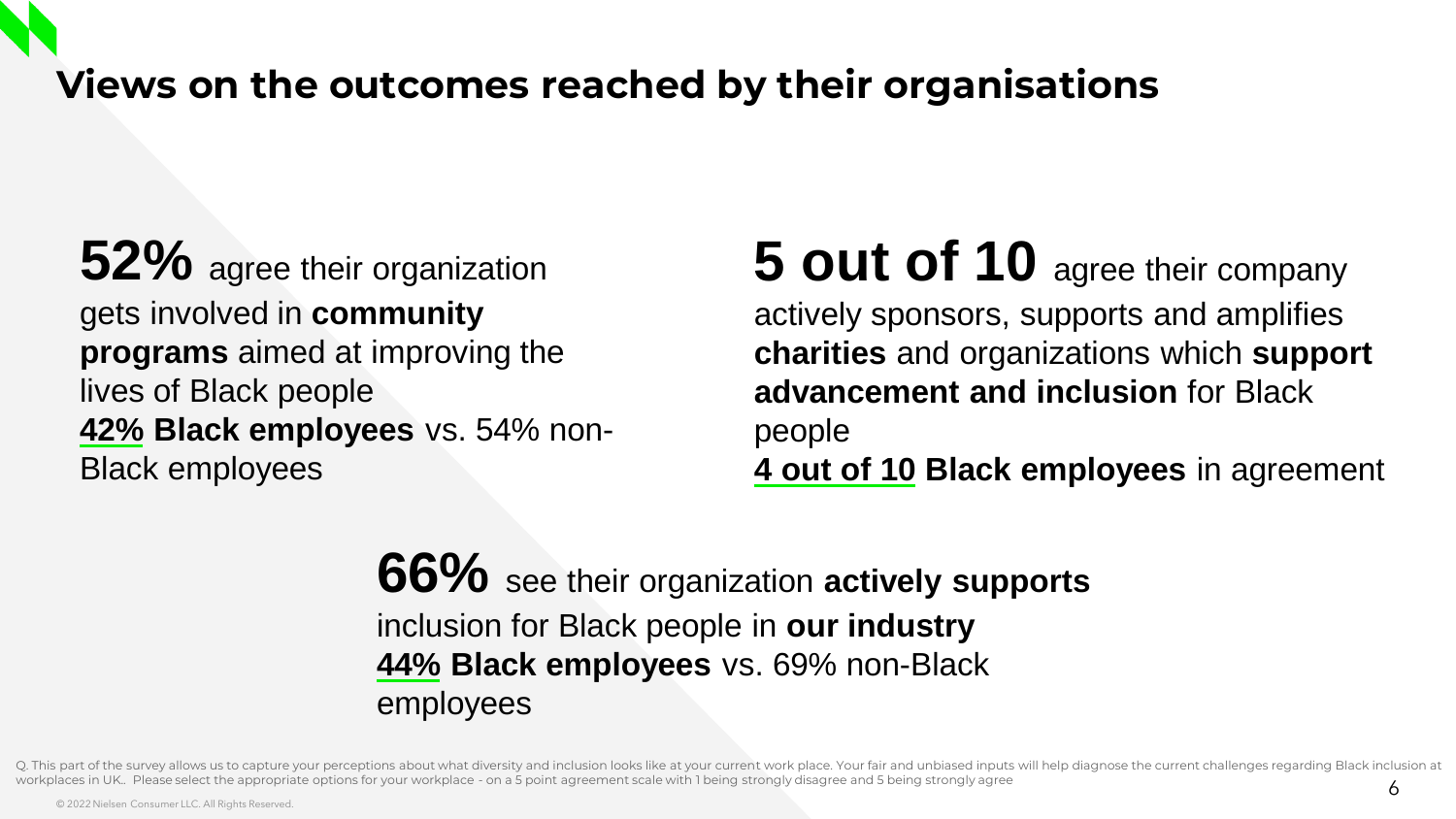## **Views on the outcomes reached by their organisations**

**52%** agree their organization gets involved in **community programs** aimed at improving the lives of Black people **42% Black employees** vs. 54% non-Black employees

## **5 out of 10** agree their company actively sponsors, supports and amplifies **charities** and organizations which **support advancement and inclusion** for Black people **4 out of 10 Black employees** in agreement

**66%** see their organization **actively supports**  inclusion for Black people in **our industry 44% Black employees** vs. 69% non-Black employees

Q. This part of the survey allows us to capture your perceptions about what diversity and inclusion looks like at your current work place. Your fair and unbiased inputs will help diagnose the current challenges regarding B workplaces in UK. Please select the appropriate options for your workplace - on a 5 point agreement scale with 1 being strongly disagree and 5 being strongly agree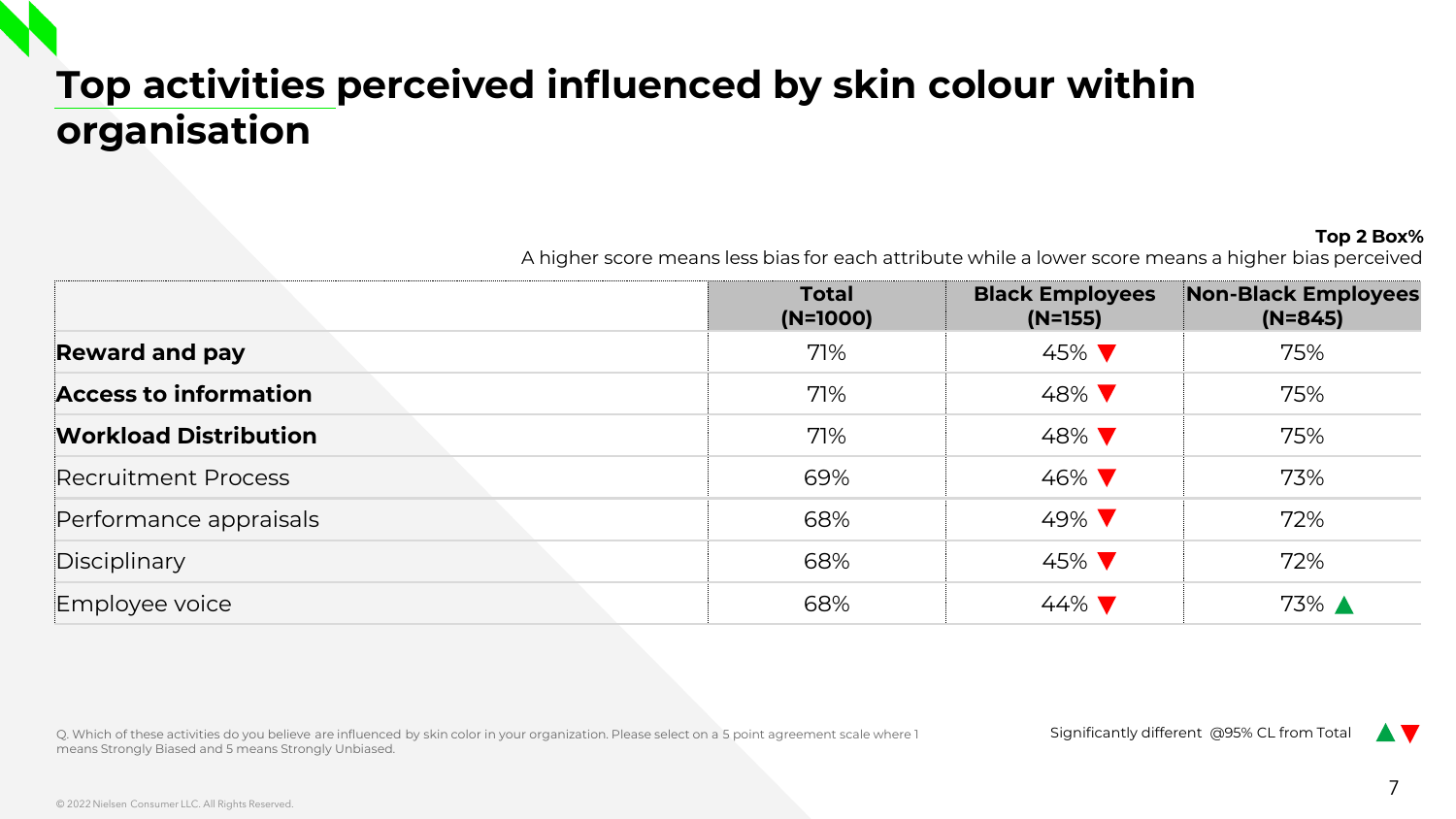## **Top activities perceived influenced by skin colour within organisation**

#### **Top 2 Box%**

A higher score means less bias for each attribute while a lower score means a higher bias perceived

|                              | <b>Total</b><br>$(N=1000)$ | <b>Black Employees</b><br>$(N=155)$ | <b>Non-Black Employees</b><br>$(N=845)$ |
|------------------------------|----------------------------|-------------------------------------|-----------------------------------------|
| <b>Reward and pay</b>        | 71%                        | 45% ▼                               | 75%                                     |
| <b>Access to information</b> | 71%                        | 48% V                               | 75%                                     |
| <b>Workload Distribution</b> | 71%                        | 48% V                               | 75%                                     |
| Recruitment Process          | 69%                        | 46% V                               | 73%                                     |
| Performance appraisals       | 68%                        | 49% ▼                               | 72%                                     |
| Disciplinary                 | 68%                        | 45% $\blacktriangledown$            | 72%                                     |
| Employee voice               | 68%                        | $44\%$                              | 73% ▲                                   |

Q. Which of these activities do you believe are influenced by skin color in your organization. Please select on a 5 point agreement scale where 1 means Strongly Biased and 5 means Strongly Unbiased.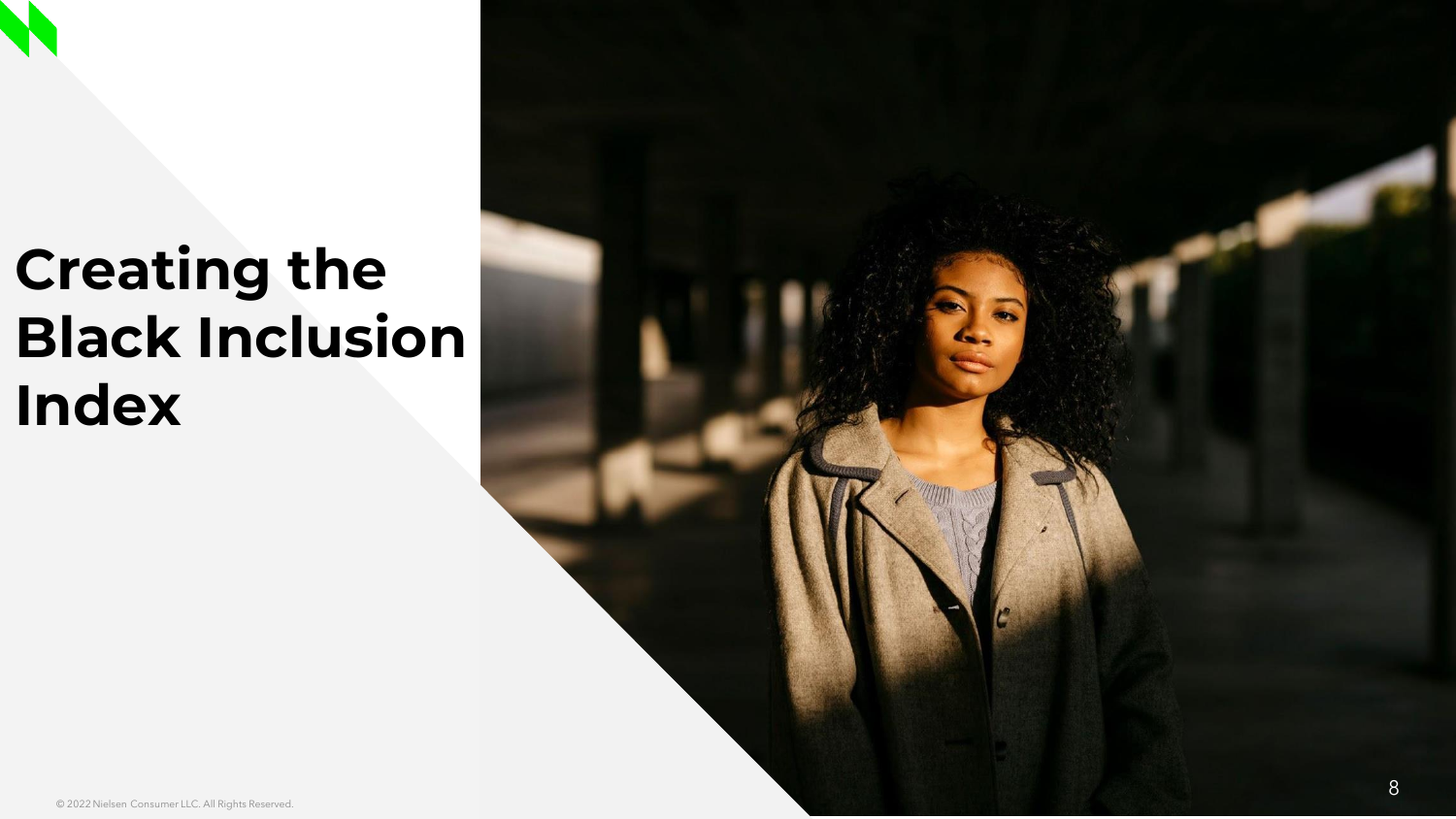## **Creating the Black Inclusion Index**

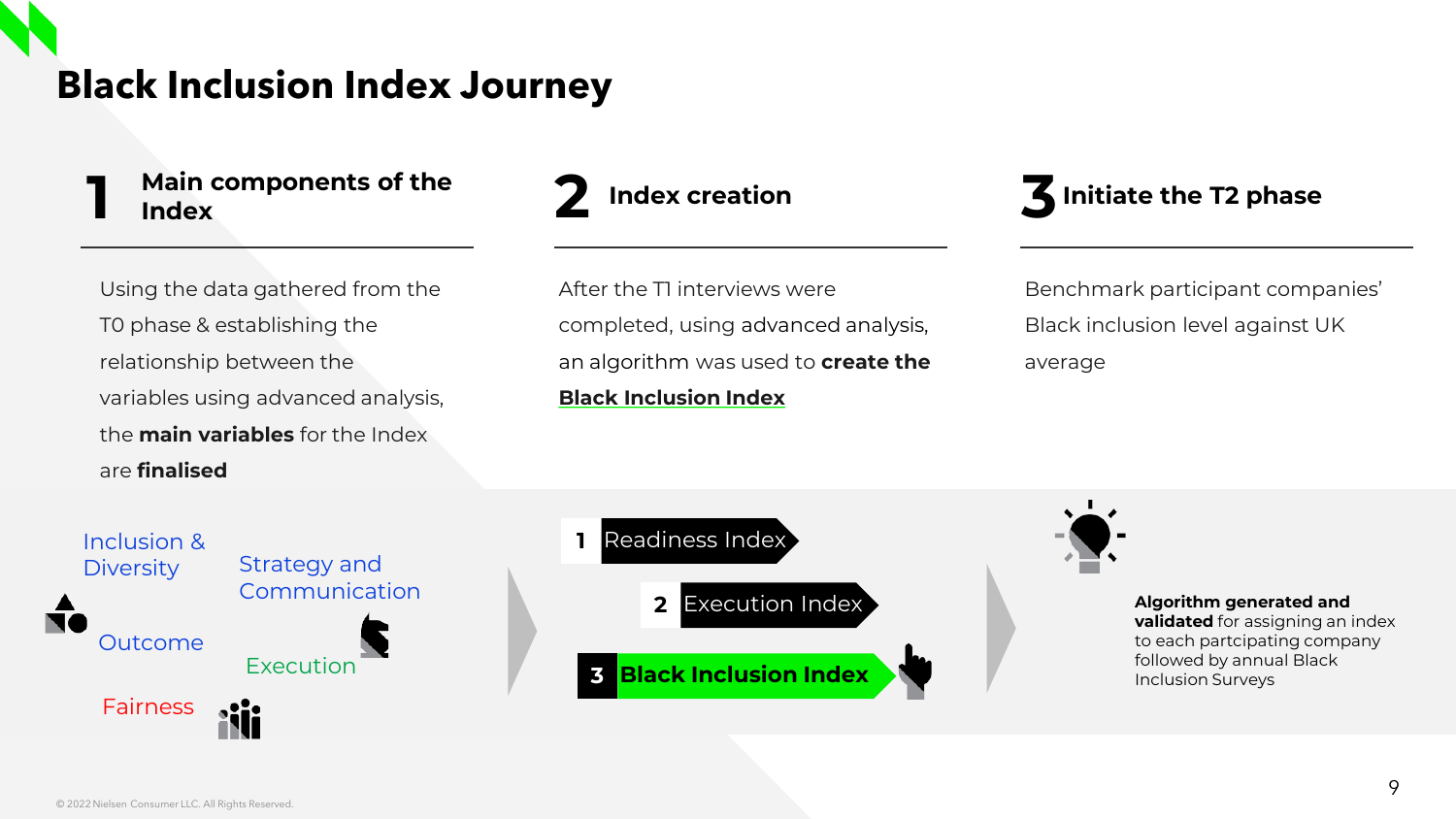## **Black Inclusion Index Journey**



Using the data gathered from the T0 phase & establishing the relationship between the variables using advanced analysis, the **main variables** for the Index are **finalised**



After the T1 interviews were completed, using advanced analysis, an algorithm was used to **create the Black Inclusion Index**

#### **3 Initiate the T2 phase**

Benchmark participant companies' Black inclusion level against UK average





**Algorithm generated and validated** for assigning an index to each partcipating company followed by annual Black Inclusion Surveys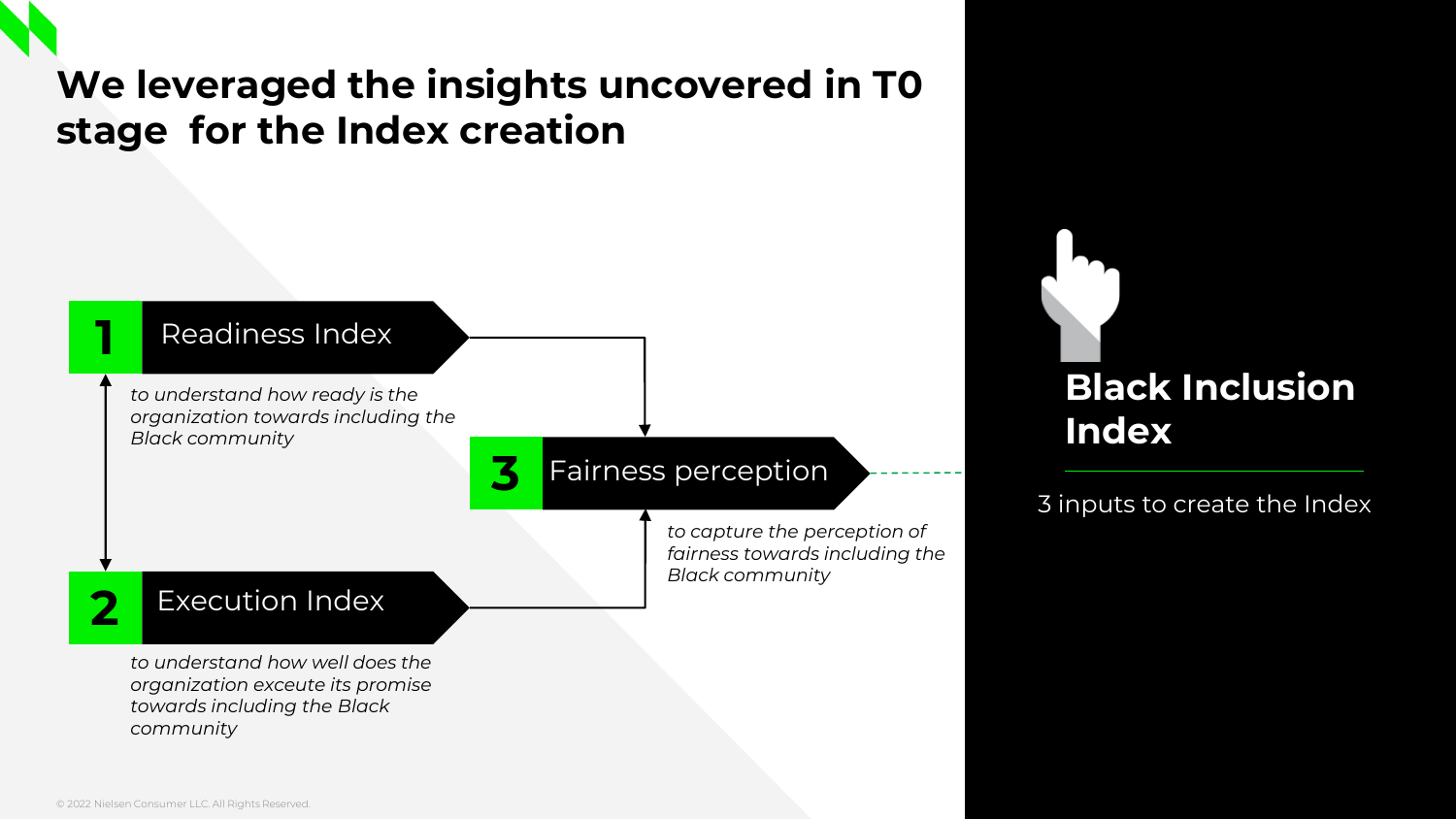## **We leveraged the insights uncovered in T0 stage for the Index creation**

#### Readiness Index

**1**

**2**

*to understand how ready is the organization towards including the Black community*

#### **3** Fairness perception

*to capture the perception of fairness towards including the Black community*

**Black Inclusion** 

3 inputs to create the Index

**Index**

#### Execution Index

*to understand how well does the organization exceute its promise towards including the Black community*